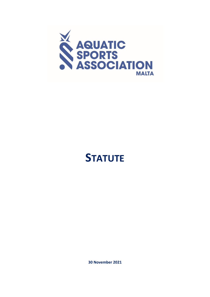

# **STATUTE**

**30 November 2021**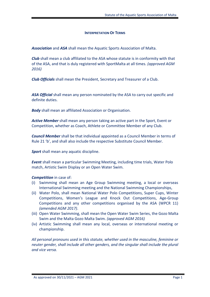#### **INTERPRETATION OF TERMS**

*Association* and *ASA* shall mean the Aquatic Sports Association of Malta.

*Club* shall mean a club affiliated to the ASA whose statute is in conformity with that of the ASA, and that is duly registered with SportMalta at all times. *(approved AGM 2016)*

*Club Officials* shall mean the President, Secretary and Treasurer of a Club.

*ASA Official* shall mean any person nominated by the ASA to carry out specific and definite duties.

*Body* shall mean an affiliated Association or Organisation.

*Active Member* shall mean any person taking an active part in the Sport, Event or Competition, whether as Coach, Athlete or Committee Member of any Club.

*Council Member* shall be that individual appointed as a Council Member in terms of Rule 21 'b', and shall also include the respective Substitute Council Member.

**Sport** shall mean any aquatic discipline.

*Event* shall mean a particular Swimming Meeting, including time trials, Water Polo match, Artistic Swim Display or an Open Water Swim.

*Competition* in case of:

- (i) Swimming shall mean an Age Group Swimming meeting, a local or overseas International Swimming meeting and the National Swimming Championships,
- (ii) Water Polo, shall mean National Water Polo Competitions, Super Cups, Winter Competitions, Women's League and Knock Out Competitions, Age-Group Competitions and any other competitions organised by the ASA (WPCR 11) *(amended AGM 2017)*.
- (iii) Open Water Swimming, shall mean the Open Water Swim Series, the Gozo Malta Swim and the Malta Gozo Malta Swim. *(approved AGM 2016)*
- (iv) Artistic Swimming shall mean any local, overseas or international meeting or championship.

*All personal pronouns used in this statute, whether used in the masculine, feminine or neuter gender, shall include all other genders, and the singular shall include the plural and vice versa.*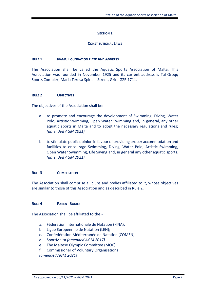## **SECTION 1**

#### **CONSTITUTIONAL LAWS**

#### **RULE 1 NAME, FOUNDATION DATE AND ADDRESS**

The Association shall be called the Aquatic Sports Association of Malta. This Association was founded in November 1925 and its current address is Tal-Qroqq Sports Complex, Maria Teresa Spinelli Street, Gzira GZR 1711.

#### **RULE 2 OBJECTIVES**

The objectives of the Association shall be:-

- a. to promote and encourage the development of Swimming, Diving, Water Polo, Artistic Swimming, Open Water Swimming and, in general, any other aquatic sports in Malta and to adopt the necessary regulations and rules; *(amended AGM 2021)*
- b. to stimulate public opinion in favour of providing proper accommodation and facilities to encourage Swimming, Diving, Water Polo, Artistic Swimming, Open Water Swimming, Life Saving and, in general any other aquatic sports. *(amended AGM 2021)*

## **RULE 3 COMPOSITION**

The Association shall comprise all clubs and bodies affiliated to it, whose objectives are similar to those of this Association and as described in Rule 2.

## **RULE 4 PARENT BODIES**

The Association shall be affiliated to the:-

- a. Fédération Internationale de Natation (FINA);
- b. Ligue Européenne de Natation (LEN);
- c. Confédération Méditerranée de Natation (COMEN).
- d. SportMalta *(amended AGM 2017)*
- e. The Maltese Olympic Committee (MOC)
- f. Commissioner of Voluntary Organisations *(amended AGM 2021)*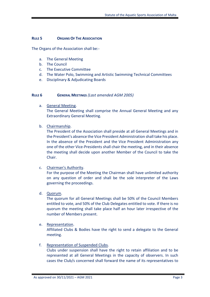## **RULE 5 ORGANS OF THE ASSOCIATION**

The Organs of the Association shall be:-

- a. The General Meeting
- b. The Council
- c. The Executive Committee
- d. The Water Polo, Swimming and Artistic Swimming Technical Committees
- e. Disciplinary & Adjudicating Boards

#### **RULE 6 GENERAL MEETINGS** *(Last amended AGM 2005)*

a. General Meeting.

The General Meeting shall comprise the Annual General Meeting and any Extraordinary General Meeting.

## b. Chairmanship.

The President of the Association shall preside at all General Meetings and in the President's absence the Vice President Administration shall take his place. In the absence of the President and the Vice President Administration any one of the other Vice-Presidents shall chair the meeting, and in their absence the meeting shall decide upon another Member of the Council to take the Chair.

c. Chairman's Authority.

For the purpose of the Meeting the Chairman shall have unlimited authority on any question of order and shall be the sole interpreter of the Laws governing the proceedings.

d. Quorum.

The quorum for all General Meetings shall be 50% of the Council Members entitled to vote, and 50% of the Club Delegates entitled to vote. If there is no quorum the meeting shall take place half an hour later irrespective of the number of Members present.

e. Representation.

Affiliated Clubs & Bodies have the right to send a delegate to the General meeting.

## f. Representation of Suspended Clubs.

Clubs under suspension shall have the right to retain affiliation and to be represented at all General Meetings in the capacity of observers. In such cases the Club/s concerned shall forward the name of its representatives to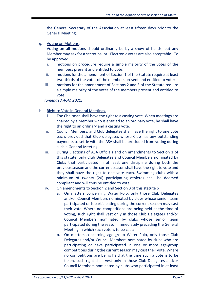the General Secretary of the Association at least fifteen days prior to the General Meeting.

g. Voting on Motions.

Voting on all motions should ordinarily be by a show of hands, but any Member may ask for a secret ballot. Electronic votes are also acceptable. To be approved:

- i. motions on procedure require a simple majority of the votes of the members present and entitled to vote;
- ii. motions for the amendment of Section 1 of the Statute require at least two-thirds of the votes of the members present and entitled to vote;
- iii. motions for the amendment of Sections 2 and 3 of the Statute require a simple majority of the votes of the members present and entitled to vote.

*(amended AGM 2021)*

- h. Right to Vote in General Meetings.
	- i. The Chairman shall have the right to a casting vote. When meetings are chaired by a Member who is entitled to an ordinary vote, he shall have the right to an ordinary and a casting vote.
	- ii. Council Members, and Club delegates shall have the right to one vote each, provided that Club delegates whose Club has any outstanding payments to settle with the ASA shall be precluded from voting during such a General Meeting.
	- iii. During Elections of ASA Officials and on amendments to Section 1 of this statute, only Club Delegates and Council Members nominated by Clubs that participated in at least one discipline during both the previous season and the current season shall have the right to vote and they shall have the right to one vote each. Swimming clubs with a minimum of twenty (20) participating athletes shall be deemed compliant and will thus be entitled to vote.
	- iv. On amendments to Section 2 and Section 3 of this statute :
		- a. On matters concerning Water Polo, only those Club Delegates and/or Council Members nominated by clubs whose senior team participated or is participating during the current season may cast their vote. Where no competitions are being held at the time of voting, such right shall vest only in those Club Delegates and/or Council Members nominated by clubs whose senior team participated during the season immediately preceding the General Meeting in which such vote is to be cast;
		- b. On matters concerning age-group Water Polo, only those Club Delegates and/or Council Members nominated by clubs who are participating or have participated in one or more age-group competitions during the current season may cast their vote. Where no competitions are being held at the time such a vote is to be taken, such right shall vest only in those Club Delegates and/or Council Members nominated by clubs who participated in at least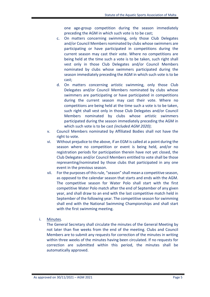one age-group competition during the season immediately preceding the AGM in which such vote is to be cast;

- c. On matters concerning swimming, only those Club Delegates and/or Council Members nominated by clubs whose swimmers are participating or have participated in competitions during the current season may cast their vote. Where no competitions are being held at the time such a vote is to be taken, such right shall vest only in those Club Delegates and/or Council Members nominated by clubs whose swimmers participated during the season immediately preceding the AGM in which such vote is to be cast;
- d. On matters concerning artistic swimming, only those Club Delegates and/or Council Members nominated by clubs whose swimmers are participating or have participated in competitions during the current season may cast their vote. Where no competitions are being held at the time such a vote is to be taken, such right shall vest only in those Club Delegates and/or Council Members nominated by clubs whose artistic swimmers participated during the season immediately preceding the AGM in which such vote is to be cast *(included AGM 2020)*;
- v. Council Members nominated by Affiliated Bodies shall not have the right to vote.
- vi. Without prejudice to the above, if an EGM is called at a point during the season where no competition or event is being held, and/or no registration periods for participation therein have not yet closed, the Club Delegates and/or Council Members entitled to vote shall be those representing/nominated by those clubs that participated in any one event in the previous season.
- vii. For the purposes of this rule, "season" shall mean a competitive season, as opposed to the calendar season that starts and ends with the AGM. The competitive season for Water Polo shall start with the first competitive Water Polo match after the end of September of any given year, and shall draw to an end with the last competitive match held in September of the following year. The competitive season for swimming shall end with the National Swimming Championships and shall start with the first swimming meeting.
- i. Minutes.

The General Secretary shall circulate the minutes of the General Meeting by not later than five weeks from the end of the meeting. Clubs and Council Members are to submit any requests for correction of the minutes in writing within three weeks of the minutes having been circulated. If no requests for correction are submitted within this period, the minutes shall be automatically approved.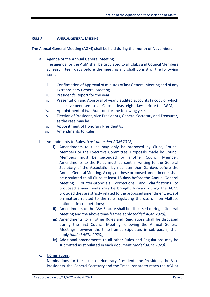## **RULE 7 ANNUAL GENERAL MEETING**

The Annual General Meeting (AGM) shall be held during the month of November.

a. Agenda of the Annual General Meeting.

The agenda for the AGM shall be circulated to all Clubs and Council Members at least fifteen days before the meeting and shall consist of the following items:-

- i. Confirmation of Approval of minutes of last General Meeting and of any Extraordinary General Meeting.
- ii. President's Report for the year.
- iii. Presentation and Approval of yearly audited accounts (a copy of which shall have been sent to all Clubs at least eight days before the AGM).
- iv. Appointment of two Auditors for the following year.
- v. Election of President, Vice Presidents, General Secretary and Treasurer, as the case may be.
- vi. Appointment of Honorary President/s.
- vii. Amendments to Rules.
- b. Amendments to Rules. *(Last amended AGM 2012)*
	- i) Amendments to rules may only be proposed by Clubs, Council Members or the Executive Committee. Proposals made by Council Members must be seconded by another Council Member. Amendments to the Rules must be sent in writing to the General Secretary of the Association by not later than 21 days before the Annual General Meeting. A copy of these proposed amendments shall be circulated to all Clubs at least 15 days before the Annual General Meeting. Counter-proposals, corrections, and clarifications to proposed amendments may be brought forward during the AGM, provided they are strictly related to the proposed amendment, except on matters related to the rule regulating the use of non-Maltese nationals in competitions;
	- ii) Amendments to the ASA Statute shall be discussed during a General Meeting and the above time-frames apply *(added AGM 2020)*;
	- iii) Amendments to all other Rules and Regulations shall be discussed during the first Council Meeting following the Annual General Meetings however the time-frames stipulated in sub-para i) shall apply *(added AGM 2020)*;
	- iv) Additional amendments to all other Rules and Regulations may be submitted as stipulated in each document *(added AGM 2020)*.
- c. Nominations.

Nominations for the posts of Honorary President, the President, the Vice Presidents, the General Secretary and the Treasurer are to reach the ASA at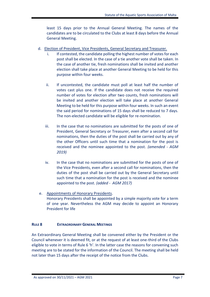least 15 days prior to the Annual General Meeting. The names of the candidates are to be circulated to the Clubs at least 8 days before the Annual General Meeting.

- d. Election of President, Vice Presidents, General Secretary and Treasurer.
	- i. If contested, the candidate polling the highest number of votes for each post shall be elected. In the case of a tie another vote shall be taken. In the case of another tie, fresh nominations shall be invited and another election shall take place at another General Meeting to be held for this purpose within four weeks.
	- ii. If uncontested, the candidate must poll at least half the number of votes cast plus one. If the candidate does not receive the required number of votes for election after two counts, fresh nominations will be invited and another election will take place at another General Meeting to be held for this purpose within four weeks. In such an event the said period for nominations of 15 days shall be reduced to 7 days. The non-elected candidate will be eligible for re-nomination.
	- iii. In the case that no nominations are submitted for the posts of one of President, General Secretary or Treasurer, even after a second call for nominations, then the duties of the post shall be carried out by any of the other Officers until such time that a nomination for the post is received and the nominee appointed to the post. *(amended - AGM 2019)*
	- iv. In the case that no nominations are submitted for the posts of one of the Vice Presidents, even after a second call for nominations, then the duties of the post shall be carried out by the General Secretary until such time that a nomination for the post is received and the nominee appointed to the post. *(added - AGM 2017)*
- e. Appointments of Honorary Presidents. Honorary Presidents shall be appointed by a simple majority vote for a term of one year. Nevertheless the AGM may decide to appoint an Honorary President for life

# **RULE 8 EXTRAORDINARY GENERAL MEETINGS**

An Extraordinary General Meeting shall be convened either by the President or the Council whenever it is deemed fit, or at the request of at least one-third of the Clubs eligible to vote in terms of Rule 6 'h'. In the latter case the reasons for convening such meeting are to be stated for the information of the Council. The meeting shall be held not later than 15 days after the receipt of the notice from the Clubs.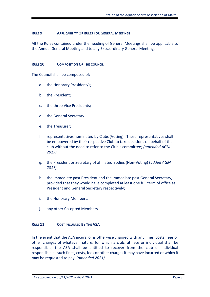## **RULE 9 APPLICABILITY OF RULES FOR GENERAL MEETINGS**

All the Rules contained under the heading of General Meetings shall be applicable to the Annual General Meeting and to any Extraordinary General Meetings.

## **RULE 10 COMPOSITION OF THE COUNCIL**

The Council shall be composed of:-

- a. the Honorary President/s;
- b. the President;
- c. the three Vice Presidents;
- d. the General Secretary
- e. the Treasurer;
- f. representatives nominated by Clubs (Voting). These representatives shall be empowered by their respective Club to take decisions on behalf of their club without the need to refer to the Club's committee; *(amended AGM 2017)*
- g. the President or Secretary of affiliated Bodies (Non-Voting) (*added AGM 2017)*
- h. the immediate past President and the immediate past General Secretary, provided that they would have completed at least one full term of office as President and General Secretary respectively;
- i. the Honorary Members;
- j. any other Co-opted Members

## **RULE 11 COST INCURRED BY THE ASA**

In the event that the ASA incurs, or is otherwise charged with any fines, costs, fees or other charges of whatever nature, for which a club, athlete or individual shall be responsible, the ASA shall be entitled to recover from the club or individual responsible all such fines, costs, fees or other charges it may have incurred or which it may be requested to pay. *(amended 2021)*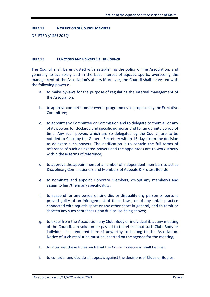**RULE 12 RESTRICTION OF COUNCIL MEMBERS**

DELETED *(AGM 2017)*

## **RULE 13 FUNCTIONS AND POWERS OF THE COUNCIL**

The Council shall be entrusted with establishing the policy of the Association, and generally to act solely and in the best interest of aquatic sports, overseeing the management of the Association's affairs Moreover, the Council shall be vested with the following powers:-

- a. to make by-laws for the purpose of regulating the internal management of the Association;
- b. to approve competitions or events programmes as proposed by the Executive Committee;
- c. to appoint any Committee or Commission and to delegate to them all or any of its powers for declared and specific purposes and for an definite period of time. Any such powers which are so delegated by the Council are to be notified to Clubs by the General Secretary within 15 days from the decision to delegate such powers. The notification is to contain the full terms of reference of such delegated powers and the appointees are to work strictly within these terms of reference;
- d. to approve the appointment of a number of independent members to act as Disciplinary Commissioners and Members of Appeals & Protest Boards
- e. to nominate and appoint Honorary Members, co-opt any member/s and assign to him/them any specific duty;
- f. to suspend for any period or sine die, or disqualify any person or persons proved guilty of an infringement of these Laws, or of any unfair practice connected with aquatic sport or any other sport in general, and to remit or shorten any such sentences upon due cause being shown;
- g. to expel from the Association any Club, Body or individual if, at any meeting of the Council, a resolution be passed to the effect that such Club, Body or individual has rendered himself unworthy to belong to the Association. Notice of such resolution must be inserted on the agenda for the meeting;
- h. to interpret these Rules such that the Council's decision shall be final;
- i. to consider and decide all appeals against the decisions of Clubs or Bodies;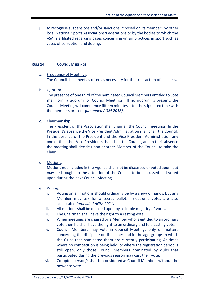j. to recognise suspensions and/or sanctions imposed on its members by other local National Sports Associations/Federations or by the bodies to which the ASA is affiliated regarding cases concerning unfair practices in sport such as cases of corruption and doping.

## **RULE 14 COUNCIL MEETINGS**

#### a. Frequency of Meetings. The Council shall meet as often as necessary for the transaction of business.

b. Quorum.

The presence of one third of the nominated Council Members entitled to vote shall form a quorum for Council Meetings. If no quorum is present, the Council Meeting will commence fifteen minutes after the stipulated time with the members present *(amended AGM 2018).*

c. Chairmanship.

The President of the Association shall chair all the Council meetings. In the President's absence the Vice President Administration shall chair the Council. In the absence of the President and the Vice President Administration any one of the other Vice-Presidents shall chair the Council, and in their absence the meeting shall decide upon another Member of the Council to take the Chair.

d. Motions.

Motions not included in the Agenda shall not be discussed or voted upon, but may be brought to the attention of the Council to be discussed and voted upon during the next Council Meeting.

- e. Voting.
	- i. Voting on all motions should ordinarily be by a show of hands, but any Member may ask for a secret ballot. Electronic votes are also acceptable *(amended AGM 2021)*
	- ii. All motions shall be decided upon by a simple majority of votes.
	- iii. The Chairman shall have the right to a casting vote.
	- iv. When meetings are chaired by a Member who is entitled to an ordinary vote then he shall have the right to an ordinary and to a casting vote.
	- v. Council Members may vote in Council Meetings only on matters concerning the discipline or disciplines and in the age-groups in which the Clubs that nominated them are currently participating. At times where no competition is being held, or where the registration period is still open, only those Council Members nominated by clubs that participated during the previous season may cast their vote.
	- vi. Co-opted person/s shall be considered as Council Members without the power to vote.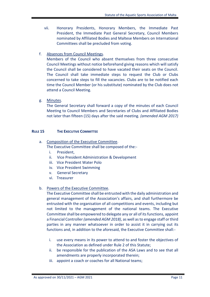- vii. Honorary Presidents, Honorary Members, the Immediate Past President, the Immediate Past General Secretary, Council Members nominated by Affiliated Bodies and Maltese Members on International Committees shall be precluded from voting.
- f. Absences from Council Meetings.

Members of the Council who absent themselves from three consecutive Council Meetings without notice beforehand giving reasons which will satisfy the Council shall be considered to have vacated their seats on the Council. The Council shall take immediate steps to request the Club or Clubs concerned to take steps to fill the vacancies. Clubs are to be notified each time the Council Member (or his substitute) nominated by the Club does not attend a Council Meeting.

g. Minutes.

The General Secretary shall forward a copy of the minutes of each Council Meeting to Council Members and Secretaries of Clubs and Affiliated Bodies not later than fifteen (15) days after the said meeting. *(amended AGM 2017)*

## **RULE 15 THE EXECUTIVE COMMITTEE**

## a. Composition of the Executive Committee.

The Executive Committee shall be composed of the:-

- i. President,
- ii. Vice President Administration & Development
- iii. Vice President Water Polo
- iv. Vice President Swimming
- v. General Secretary
- vi. Treasurer

## b. Powers of the Executive Committee.

The Executive Committee shall be entrusted with the daily administration and general management of the Association's affairs, and shall furthermore be entrusted with the organisation of all competitions and events, including but not limited to the management of the national teams. The Executive Committee shall be empowered to delegate any or all of its functions, appoint a Financial Controller *(amended AGM 2018)*, as well as to engage staff or third parties in any manner whatsoever in order to assist it in carrying out its functions and, in addition to the aforesaid, the Executive Committee shall:-

- i. use every means in its power to attend to and foster the objectives of the Association as defined under Rule 2 of this Statute;
- ii. be responsible for the publication of the ASA Laws and to see that all amendments are properly incorporated therein;
- iii. appoint a coach or coaches for all National teams;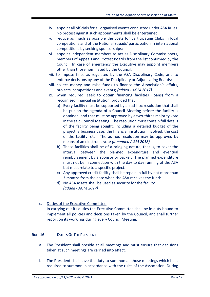- iv. appoint all officials for all organised events conducted under ASA Rules. No protest against such appointments shall be entertained.
- v. reduce as much as possible the costs for participating Clubs in local competitions and of the National Squads' participation in international competitions by seeking sponsorships;
- vi. appoint independent members to act as Disciplinary Commissioners, members of Appeals and Protest Boards from the list confirmed by the Council. In case of emergency the Executive may appoint members other than those nominated by the Council.
- vii. to impose fines as regulated by the ASA Disciplinary Code, and to enforce decisions by any of the Disciplinary or Adjudicating Boards;
- viii. collect money and raise funds to finance the Association's affairs, projects, competitions and events; *(added - AGM 2017)*
- ix. when required, seek to obtain financing facilities (loans) from a recognised financial institution, provided that
	- a) Every facility must be supported by an ad-hoc resolution that shall be put on the agenda of a Council Meeting before the facility is obtained, and that must be approved by a two-thirds majority vote in the said Council Meeting. The resolution must contain full details of the facility being sought, including a detailed budget of the project, a business case, the financial institution involved, the cost of the facility, etc. The ad-hoc resolution may be approved by means of an electronic vote *(amended AGM 2018)*
	- b) These facilities shall be of a bridging nature, that is, to cover the interval between the planned expenditure and eventual reimbursement by a sponsor or backer. The planned expenditure must not be in connection with the day to day running of the ASA but must relate to a specific project.
	- c) Any approved credit facility shall be repaid in full by not more than 3 months from the date when the ASA receives the funds.
	- d) No ASA assets shall be used as security for the facility. *(added - AGM 2017)*
- c. Duties of the Executive Committee. In carrying out its duties the Executive Committee shall be in duty bound to implement all policies and decisions taken by the Council, and shall further report on its workings during every Council Meeting.

# **RULE 16 DUTIES OF THE PRESIDENT**

- a. The President shall preside at all meetings and must ensure that decisions taken at such meetings are carried into effect.
- b. The President shall have the duty to summon all those meetings which he is required to summon in accordance with the rules of the Association. During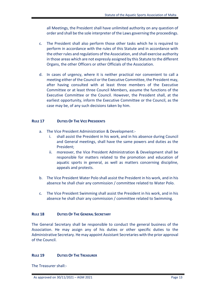all Meetings, the President shall have unlimited authority on any question of order and shall be the sole interpreter of the Laws governing the proceedings.

- c. The President shall also perform those other tasks which he is required to perform in accordance with the rules of this Statute and in accordance with the other rules and regulations of the Association, and shall exercise authority in those areas which are not expressly assigned by this Statute to the different Organs, the other Officers or other Officials of the Association.
- d. In cases of urgency, where it is neither practical nor convenient to call a meeting either of the Council or the Executive Committee, the President may, after having consulted with at least three members of the Executive Committee or at least three Council Members, assume the functions of the Executive Committee or the Council. However, the President shall, at the earliest opportunity, inform the Executive Committee or the Council, as the case may be, of any such decisions taken by him.

# **RULE 17 DUTIES OF THE VICE PRESIDENTS**

- a. The Vice President Administration & Development:
	- i. shall assist the President in his work, and in his absence during Council and General meetings, shall have the same powers and duties as the President;
	- ii. moreover, the Vice President Administration & Development shall be responsible for matters related to the promotion and education of aquatic sports in general, as well as matters concerning discipline, appeals and protests.
- b. The Vice President Water Polo shall assist the President in his work, and in his absence he shall chair any commission / committee related to Water Polo.
- c. The Vice President Swimming shall assist the President in his work, and in his absence he shall chair any commission / committee related to Swimming.

## **RULE 18 DUTIES OF THE GENERAL SECRETARY**

The General Secretary shall be responsible to conduct the general business of the Association. He may assign any of his duties or other specific duties to the Administrative Secretary. He may appoint Assistant Secretaries with the prior approval of the Council.

## **RULE 19 DUTIES OF THE TREASURER**

The Treasurer shall:-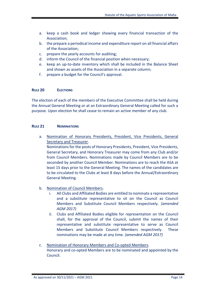- a. keep a cash book and ledger showing every financial transaction of the Association;
- b. the prepare a periodical income and expenditure report on all financial affairs of the Association;
- c. prepare the yearly accounts for auditing;
- d. inform the Council of the financial position when necessary;
- e. keep an up-to-date inventory which shall be included in the Balance Sheet and shown as assets of the Association in a separate column;
- f. prepare a budget for the Council's approval.

# **RULE 20 ELECTIONS**

The election of each of the members of the Executive Committee shall be held during the Annual General Meeting or at an Extraordinary General Meeting called for such a purpose. Upon election he shall cease to remain an active member of any club.

## **RULE 21 NOMINATIONS**

a. Nomination of Honorary Presidents, President, Vice Presidents, General Secretary and Treasurer.

Nominations for the posts of Honorary Presidents, President, Vice Presidents, General Secretary, and Honorary Treasurer may come from any Club and/or from Council Members. Nominations made by Council Members are to be seconded by another Council Member. Nominations are to reach the ASA at least 15 days prior to the General Meeting. The names of the candidates are to be circulated to the Clubs at least 8 days before the Annual/Extraordinary General Meeting.

- b. Nomination of Council Members.
	- i. All Clubs and Affiliated Bodies are entitled to nominate a representative and a substitute representative to sit on the Council as Council Members and Substitute Council Members respectively. *(amended AGM 2017)*
	- ii. Clubs and Affiliated Bodies eligible for representation on the Council shall, for the approval of the Council, submit the names of their representative and substitute representative to serve as Council Members and Substitute Council Members respectively. These nominations may be made at any time. *(amended AGM 2017)*
- c. Nomination of Honorary Members and Co-opted Members. Honorary and co-opted Members are to be nominated and appointed by the Council.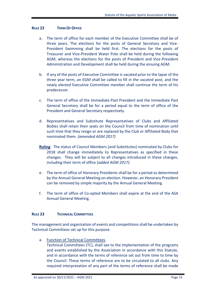#### **RULE 22 TERM OF OFFICE**

- a. The term of office for each member of the Executive Committee shall be of three years. The elections for the posts of General Secretary and Vice-President Swimming shall be held first. The elections for the posts of Treasurer and Vice-President Water Polo shall be held during the following AGM, whereas the elections for the posts of President and Vice-President Administration and Development shall be held during the ensuing AGM.
- b. If any of the posts of Executive Committee is vacated prior to the lapse of the three year term, an EGM shall be called to fill in the vacated post, and the newly elected Executive Committee member shall continue the term of his predecessor.
- c. The term of office of the Immediate Past President and the Immediate Past General Secretary shall be for a period equal to the term of office of the President and General Secretary respectively.
- d. Representatives and Substitute Representatives of Clubs and Affiliated Bodies shall retain their seats on the Council from time of nomination until such time that they resign or are replaced by the Club or Affiliated Body that nominated them. *(amended AGM 2017)*
- **Ruling**: The status of Council Members (and Substitutes) nominated by Clubs for 2018 shall change immediately to Representatives as specified in these changes. They will be subject to all changes introduced in these changes, including their term of office (*added AGM 2017).*
- e. The term of office of Honorary Presidents shall be for a period as determined by the Annual General Meeting on election. However, an Honorary President can be removed by simple majority by the Annual General Meeting.
- f. The term of office of Co-opted Members shall expire at the end of the ASA Annual General Meeting.

## **RULE 23 TECHNICAL COMMITTEES**

The management and organization of events and competitions shall be undertaken by Technical Committees set up for this purpose.

a. Function of Technical Committees.

Technical Committees (TC), shall see to the implementation of the programs and events established by the Association in accordance with this Statute, and in accordance with the terms of reference set out from time to time by the Council. These terms of reference are to be circulated to all clubs. Any required interpretation of any part of the terms of reference shall be made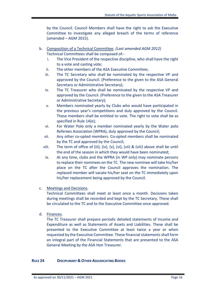by the Council. Council Members shall have the right to ask the Executive Committee to investigate any alleged breach of the terms of reference (amended – AGM 2015).

- b. Composition of a Technical Committee. *(Last amended AGM 2012)* Technical Committees shall be composed of:
	- i. The Vice President of the respective discipline, who shall have the right to a vote and casting vote;
	- ii. The other members of the ASA Executive Committee;
	- iii. The TC Secretary who shall be nominated by the respective VP and approved by the Council. (Preference to the given to the ASA General Secretary or Administrative Secretary);
	- iv. The TC Treasurer who shall be nominated by the respective VP and approved by the Council. (Preference to the given to the ASA Treasurer or Administrative Secretary);
	- v. Members nominated yearly by Clubs who would have participated in the previous year's competitions and duly approved by the Council. These members shall be entitled to vote. The right to vote shall be as specified in Rule 14(e);
	- vi. For Water Polo only a member nominated yearly by the Water polo Referees Association (WPRA), duly approved by the Council;
	- vii. Any other co-opted members. Co-opted members shall be nominated by the TC and approved by the Council;
	- viii. The term of office of (iii), (iv), (v), (vi), (vii) & (viii) above shall be until the end of the season in which they would have been nominated;
	- ix. At any time, clubs and the WPRA (in WP only) may nominate persons to replace their nominees on the TC. The new nominee will take his/her place on the TC after the Council approves the nomination. The replaced member will vacate his/her seat on the TC immediately upon his/her replacement being approved by the Council.

# c. Meetings and Decisions.

Technical Committees shall meet at least once a month. Decisions taken during meetings shall be recorded and kept by the TC Secretary. These shall be circulated to the TC and to the Executive Committee once approved.

d. Finances.

The TC Treasurer shall prepare periodic detailed statements of Income and Expenditure as well as Statements of Assets and Liabilities. These shall be presented to the Executive Committee at least twice a year or when requested by the Executive Committee. These financial statements shall form an integral part of the Financial Statements that are presented to the ASA General Meeting by the ASA Hon Treasurer.

## **RULE 24 DISCIPLINARY & OTHER ADJUDICATING BODIES**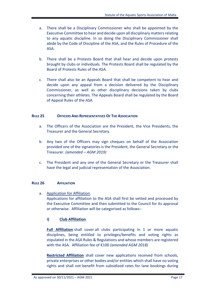- a. There shall be a Disciplinary Commissioner who shall be appointed by the Executive Committee to hear and decide upon all disciplinary matters relating to any aquatic discipline. In so doing the Disciplinary Commissioner shall abide by the Code of Discipline of the ASA, and the Rules of Procedure of the ASA.
- b. There shall be a Protests Board that shall hear and decide upon protests brought by clubs or individuals. The Protests Board shall be regulated by the Board of Protests Rules of the ASA.
- c. There shall also be an Appeals Board that shall be competent to hear and decide upon any appeal from a decision delivered by the Disciplinary Commissioner, as well as other disciplinary decisions taken by clubs concerning their athletes. The Appeals Board shall be regulated by the Board of Appeal Rules of the ASA.

## **RULE 25 OFFICERS AND REPRESENTATIVES OF THE ASSOCIATION**

- a. The Officers of the Association are the President, the Vice Presidents, the Treasurer and the General Secretary.
- b. Any two of the Officers may sign cheques on behalf of the Association provided one of the signatories is the President, the General Secretary or the Treasurer. *(amended – AGM 2019)*
- c. The President and any one of the General Secretary or the Treasurer shall have the legal and judicial representation of the Association.

# **RULE 26 AFFILIATION**

a. Application for Affiliation.

Applications for affiliation to the ASA shall first be vetted and processed by the Executive Committee and then submitted to the Council for its approval or otherwise. Affiliation will be categorised as follows:-

# **i) Club Affiliation**

**Full Affiliation** shall cover all clubs participating in 1 or more aquatic disciplines, being entitled to privileges/benefits and voting rights as stipulated in the ASA Rules & Regulations and whose members are registered with the ASA. Affiliation fee of €100 *(amended AGM 2018)*

**Restricted Affiliation** shall cover new applications received from schools, private enterprises or other bodies and/or entities which shall have no voting rights and shall not benefit from subsidized rates for lane bookings during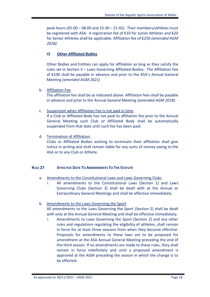peak hours (05:00 – 08:00 and 15:30 – 21:45). Their members/athletes must be registered with ASA. A registration fee of €10 for Junior Athletes and €20 for Senior Athletes shall be applicable. Affiliation fee of €250 *(amended AGM 2018).*

# **ii) Other Affiliated Bodies**

Other Bodies and Entities can apply for affiliation as long as they satisfy the rules set in Section 3 – Laws Governing Affiliated Bodies. The Affiliation Fee of €100 shall be payable in advance and prior to the ASA's Annual General Meeting *(amended AGM 2021)*

# b. Affiliation Fee.

The affiliation fee shall be as indicated above. Affiliation fees shall be payable in advance and prior to the Annual General Meeting *(amended AGM 2018)*.

## c. Suspension when Affiliation Fee is not paid in time.

If a Club or Affiliated Body has not paid its affiliation fee prior to the Annual General Meeting such Club or Affiliated Body shall be automatically suspended from that date until such fee has been paid.

## d. Termination of Affiliation.

Clubs or Affiliated Bodies wishing to terminate their affiliation shall give notice in writing and shall remain liable for any sums of money owing to the ASA or to any Club or Athlete.

## **RULE 27 EFFECTIVE DATE TO AMENDMENTS TO THE STATUTE**

# a. Amendments to the Constitutional Laws and Laws Governing Clubs

i. All amendments to the Constitutional Laws (Section 1) and Laws Governing Clubs (Section 3) shall be dealt with at the Annual or Extraordinary General Meetings and shall be effective immediately.

# b. Amendments to the Laws Governing the Sport

All amendments to the Laws Governing the Sport (Section 2) shall be dealt with only at the Annual General Meeting and shall be effective immediately.

i. Amendments to Laws Governing the Sport (Section 2) and any other rules and regulations regulating the eligibility of athletes, shall remain in force for at least three seasons from when they become effective. Proposals for amendments to these laws are to be proposed for amendment at the ASA Annual General Meeting preceding the end of the third season. If no amendments are made to these rules, they shall remain in force indefinitely and until a proposed amendment is approved at the AGM preceding the season in which the change is to be effected.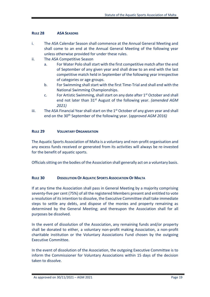## **RULE 28 ASA SEASONS**

- i. The ASA Calendar Season shall commence at the Annual General Meeting and shall come to an end at the Annual General Meeting of the following year unless otherwise provided for under these rules.
- ii. The ASA Competitive Season
	- a. For Water Polo shall start with the first competitive match after the end of September of any given year and shall draw to an end with the last competitive match held in September of the following year irrespective of categories or age groups.
	- b. For Swimming shall start with the first Time-Trial and shall end with the National Swimming Championships.
	- c. For Artistic Swimming, shall start on any date after  $1<sup>st</sup>$  October and shall end not later than 31<sup>st</sup> August of the following year. *(amended AGM 2021)*
- iii. The ASA Financial Year shall start on the  $1<sup>st</sup>$  October of any given year and shall end on the 30<sup>th</sup> September of the following year. (*approved AGM 2016*)

## **RULE 29 VOLUNTARY ORGANISATION**

The Aquatic Sports Association of Malta is a voluntary and non-profit organisation and any excess funds received or generated from its activities will always be re-invested for the benefit of aquatic sports.

Officials sitting on the bodies of the Association shall generally act on a voluntary basis.

# **RULE 30 DISSOLUTION OF AQUATIC SPORTS ASSOCIATION OF MALTA**

If at any time the Association shall pass in General Meeting by a majority comprising seventy-five per cent (75%) of all the registered Members present and entitled to vote a resolution of its intention to dissolve, the Executive Committee shall take immediate steps to settle any debts, and dispose of the monies and property remaining as determined by the General Meeting; and thereupon the Association shall for all purposes be dissolved.

In the event of dissolution of the Association, any remaining funds and/or property shall be donated to either, a voluntary non-profit making Association, a non-profit charitable institution or the Voluntary Associations Fund chosen by the outgoing Executive Committee.

In the event of dissolution of the Association, the outgoing Executive Committee is to inform the Commissioner for Voluntary Associations within 15 days of the decision taken to dissolve.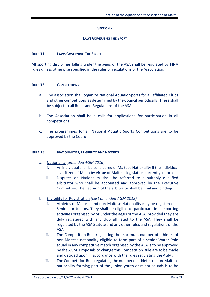# **SECTION 2**

## **LAWS GOVERNING THE SPORT**

## **RULE 31 LAWS GOVERNING THE SPORT**

All sporting disciplines falling under the aegis of the ASA shall be regulated by FINA rules unless otherwise specified in the rules or regulations of the Association.

## **RULE 32 COMPETITIONS**

- a. The association shall organize National Aquatic Sports for all affiliated Clubs and other competitions as determined by the Council periodically. These shall be subject to all Rules and Regulations of the ASA.
- b. The Association shall issue calls for applications for participation in all competitions.
- c. The programmes for all National Aquatic Sports Competitions are to be approved by the Council.

## **RULE 33 NATIONALITIES, ELIGIBILITY AND RECORDS**

- a. Nationality (*amended AGM 2016*)
	- i. An individual shall be considered of Maltese Nationality if the individual is a citizen of Malta by virtue of Maltese legislation currently in force.
	- ii. Disputes on Nationality shall be referred to a suitably qualified arbitrator who shall be appointed and approved by the Executive Committee. The decision of the arbitrator shall be final and binding.

# b. Eligibility for Registration *(Last amended AGM 2012)*

- i. Athletes of Maltese and non-Maltese Nationality may be registered as Seniors or Juniors. They shall be eligible to participate in all sporting activities organised by or under the aegis of the ASA, provided they are duly registered with any club affiliated to the ASA. They shall be regulated by the ASA Statute and any other rules and regulations of the ASA.
- ii. The Competition Rule regulating the maximum number of athletes of non-Maltese nationality eligible to form part of a senior Water Polo squad in any competitive match organised by the ASA is to be approved by the AGM. Proposals to change this Competition Rule are to be made and decided upon in accordance with the rules regulating the AGM.
- iii. The Competition Rule regulating the number of athletes of non-Maltese nationality forming part of the junior, youth or minor squads is to be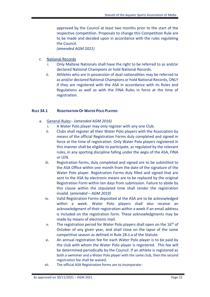approved by the Council at least two months prior to the start of the respective competition. Proposals to change this Competition Rule are to be made and decided upon in accordance with the rules regulating the Council. *(amended AGM 2021)*

c. National Records

- i. Only Maltese Nationals shall have the right to be referred to as and/or declared National Champions or hold National Records.
- ii. Athletes who are in possession of dual nationalities may be referred to as and/or declared National Champions or hold National Records, ONLY if they are registered with the ASA in accordance with its Rules and Regulations as well as with the FINA Rules in force at the time of registration.

## **RULE 34.1 REGISTRATION OF WATER POLO PLAYERS**

- a. General Rules:- *(amended AGM 2016)*
	- i. A Water Polo player may only register with any one Club.
	- ii. Clubs shall register all their Water Polo players with the Association by means of the official Registration Forms duly completed and signed in force at the time of registration. Only Water Polo players registered in this manner shall be eligible to participate, as regulated by the relevant rules, in any sporting discipline falling under the aegis of the ASA, FINA or LEN.
	- iii. Registration forms, duly completed and signed are to be submitted to the ASA Office within one month from the date of the signature of the Water Polo player. Registration Forms duly filled and signed that are sent to the ASA by electronic means are to be replaced by the original Registration Form within ten days from submission. Failure to abide by this clause within the stipulated time shall render the registration invalid. (*amended – AGM 2019)*
	- iv. Valid Registration Forms deposited at the ASA are to be acknowledged within a week. Water Polo players shall also receive an acknowledgment of their registration within a week if an email address is included on the registration form. These acknowledgments may be made by means of electronic mail.
	- *v.* The registration period for Water Polo players shall open on the  $16<sup>th</sup>$  of October of any given year, and shall close on the lapse of the same competitive season as defined in Rule 28.ii.a of the Statute.
	- vi. An annual registration fee for each Water Polo player is to be paid by the club with whom the Water Polo player is registered. This fee will be determined periodically by the Council. If an athlete is registered as both a swimmer and a Water Polo player with the same club, then the second registration fee shall be waived.
	- vii. The official ASA Registration forms are to incorporate:-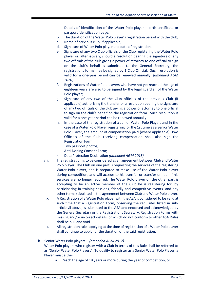- a. Details of identification of the Water Polo player birth certificate or passport identification page;
- b. The duration of the Water Polo player's registration period with the club;
- c. Name of previous club, if applicable;
- d. Signature of Water Polo player and date of registration.
- e. Signature of any two Club officials of the Club registering the Water Polo player or, alternatively, should a resolution bearing the signature of any two officials of the club giving a power of attorney to one official to sign on the club's behalf is submitted to the General Secretary, the registrations forms may be signed by 1 Club Official. Such resolution is valid for a one-year period can be renewed annually; *(amended AGM 2020)*
- f. Registrations of Water Polo players who have not yet reached the age of eighteen years are also to be signed by the legal guardian of the Water Polo player;
- g. Signature of any two of the Club officials of the previous Club (if applicable) authorising the transfer or a resolution bearing the signature of any two officials of the club giving a power of attorney to one official to sign on the club's behalf on the registration form. Such resolution is valid for a one-year period can be renewed annually.
- h. In the case of the registration of a Junior Water Polo Player, and in the case of a Water Polo Player registering for the 1st time as a Senior Water Polo Player, the amount of compensation paid (where applicable). Two Officials of the Club receiving compensation shall also sign the Registration Form;
- i. Two passport photos;
- j. Anti-Doping Consent Form;
- k. Data Protection Declaration *(amended AGM 2018)*
- viii. The registration is to be considered as an agreement between Club and Water Polo player. The Club on one part is requesting the services of the registering Water Polo player, and is prepared to make use of the Water Polo player during competition, and will accede to his transfer or transfer on loan if his services are no longer required. The Water Polo player on the other part is accepting to be an active member of the Club he is registering for, by participating in training sessions, friendly and competitive events, and any other terms stipulated in the agreement between Club and Water Polo player.
	- ix. A Registration of a Water Polo player with the ASA is considered to be valid at such time that a Registration Form, observing the requisites listed in subarticle vii above, is submitted to the ASA and endorsed and acknowledged by the General Secretary or the Registrations Secretary. Registration Forms with missing and/or incorrect details, or which do not conform to other ASA Rules shall be null and void.
	- x. All registration rules applying at the time of registration of a Water Polo player shall continue to apply for the duration of the said registration.
- b. Senior Water Polo players:- *(amended AGM 2017)* Water Polo players who register with a Club in terms of this Rule shall be referred to as "Senior Water Polo Players". To qualify to register as a Senior Water Polo Player, a Player must either
	- Reach the age of 18 years or more during the year of competition, or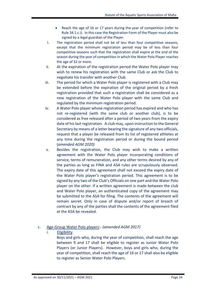- Reach the age of 16 or 17 years during the year of competition (refer to Rule 34.1.c.i). In this case the Registration Form of the Player must also be signed by a legal guardian of the Player.
- i. The registration period shall not be of less than four competitive seasons, except that the minimum registration period may be of less than four competitive seasons such that the registration shall expire at the end of the season during the year of competition in which the Water Polo Player reaches the age of 32 or more.
- ii. At the expiration of the registration period the Water Polo player may wish to renew his registration with the same Club or ask the Club to negotiate his transfer with another Club.
- iii. The period for which a Water Polo player is registered with a Club may be extended before the expiration of the original period by a fresh registration provided that such a registration shall be considered as a new registration of the Water Polo player with the same Club and regulated by the minimum registration period.
- iv. A Water Polo player whose registration period has expired and who has not re-registered (with the same club or another club), is to be considered as free released after a period of two years from the expiry date of his last registration. A club may, upon instruction to the General Secretary by means of a letter bearing the signature of any two officials, request that a player be released from its list of registered athletes at any time during the registration period or during the bound period (*amended AGM 2020)*
- v. Besides the registration, the Club may wish to make a written agreement with the Water Polo player incorporating conditions of service, terms of remuneration, and any other terms desired by any of the parties as long as FINA and ASA rules are scrupulously observed. The expiry date of this agreement shall not exceed the expiry date of the Water Polo player's registration period. This agreement is to be signed by any two of the Club's Officials on one part and the Water Polo player on the other. if a written agreement is made between the club and Water Polo player, an authenticated copy of the agreement may be submitted to the ASA for filing. The contents of the agreement will remain secret. Only in case of dispute and/or report of breach of contract by any of the parties shall the contents of the agreement filed at the ASA be revealed.

## c. Age-Group Water Polo players:- *(amended AGM 2017)*

i. Eligibility

Boys and girls who, during the year of competition, shall reach the age between 9 and 17 shall be eligible to register as Junior Water Polo Players (or Junior Players). However, boys and girls who, during the year of competition, shall reach the age of 16 or 17 shall also be eligible to register as Senior Water Polo Players.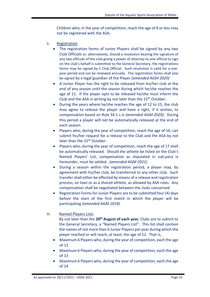Children who, in the year of competition, reach the age of 8 or less may not be registered with the ASA.

- ii. Registration
	- The registration forms of Junior Players shall be signed by any two Club Officials or, alternatively, should a resolution bearing the signature of any two officials of the club giving a power of attorney to one official to sign on the club's behalf is submitted to the General Secretary, the registrations forms may be signed by 1 Club Official. Such resolution is valid for a oneyear period and can be renewed annually. The registration forms shall also be signed by a legal guardian of the Player *(amended AGM 2020)*
	- A Junior Player has the right to be released from his/her club at the end of any season until the season during which he/she reaches the age of 11. If the player opts to be released he/she must inform the Club and the ASA in writing by not later than the  $15<sup>th</sup>$  October.
	- During the years where he/she reaches the age of 12 to 15, the club may agree to release the player and have a right, if it wishes, to compensation based on Rule 34.1 c.iv *(amended AGM 2020).* During this period a player will not be automatically released at the end of each season.
	- Players who, during the year of competition, reach the age of 16, can submit his/her request for a release to the Club and the ASA by not later than the 15<sup>th</sup> October.
	- Players who, during the year of competition, reach the age of 17 shall be automatically released. Should the athlete be listed on the Club's Named Players' List, compensation as stipulated in sub-para iv hereunder, must be settled. *(amended AGM 2021)*
	- During a season within the registration period, a player may, by agreement with his/her club, be transferred to any other club. Such transfer shall either be effected by means of a release and registration process, on loan or as a shared athlete, as allowed by ASA rules. Any compensation shall be negotiated between the clubs concerned.
	- Registration Forms for Junior Players are to be submitted four (4) days before the start of the first match in which the player will be participating *(amended AGM 2018)*

# iii. Named Players Lists

By not later than the **20th August of each year**, Clubs are to submit to the General Secretary, a "Named Players List". This list shall contain the names of not more than 6 Junior Players per year during which the player reached or will reach, at least, the age of 12. That is,

- Maximum 6 Players who, during the year of competition, each the age of 12
- Maximum 6 Players who, during the year of competition, each the age of 13
- Maximum 6 Players who, during the year of competition, each the age of 14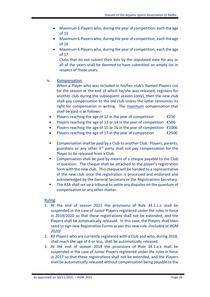- Maximum 6 Players who, during the year of competition, each the age of 15
- Maximum 6 Players who, during the year of competition, each the age of 16
- Maximum 6 Players who, during the year of competition, each the age of 17

Clubs that do not submit their lists by the stipulated date for any or all of the years shall be deemed to have submitted an empty list in respect of those years.

# iv. Compensation

When a Player who was included in his/her club's Named Players List for the season at the end of which he/she was released, registers for another club during the subsequent season (only), then the new club shall pay compensation to the old club unless the latter renounces its right for compensation in writing. The maximum compensation that shall be paid is as follows:-

- Players reaching the age of 12 in the year of competition  $\epsilon$ 250
- Players reaching the age of 13 or 14 in the year of competition  $£500$
- Players reaching the age of 15 or 16 in the year of competition  $\epsilon$ 1000
- Players reaching the age of 17 in the year of competition  $\epsilon$ 2500
- Compensation shall be paid by a Club to another Club. Players, parents, guardians or any other 3<sup>rd</sup> party shall not pay compensation for the Player to be released from a Club.
- Compensation shall be paid by means of a cheque payable to the Club in question. The cheque shall be attached to the player's registration form with the new club. This cheque will be handed to a representative of the new club once the registration is processed and endorsed and acknowledged by the General Secretary or the Registrations Secretary.
- The ASA shall set up a tribunal to settle any disputes on the quantum of compensation or any other matter.

# Ruling:

- 1. At the end of season 2021 the provisions of Rule 34.1.c.ii shall be suspended in the case of Junior Players registered under the rules in force in 2019/2020 so that these registrations shall not be extended, and the Players shall be automatically released. In this case, the Players shall then need to sign new Registration Forms as per this new rule. *(included at AGM 2020)*
- 2. All Players who are currently registered with a Club and who, during 2018, shall reach the age of 8 or less, shall be automatically released.
- 3. At the end of season 2018 the provisions of Rule 34.1.a.x shall be suspended in the case of Junior Players registered under the rules in force in 2017 so that these registrations shall not be extended, and the Players shall be automatically released without compensation being payable to the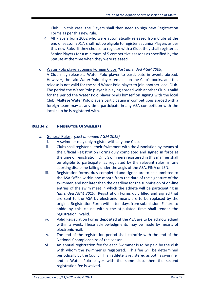Club. In this case, the Players shall then need to sign new Registration Forms as per this new rule.

4. All Players born 2002 who were automatically released from Clubs at the end of season 2017, shall not be eligible to register as Junior Players as per this new Rule. If they choose to register with a Club, they shall register as Senior Players for a minimum of 5 competitive seasons as specified by the Statute at the time when they were released.

# d. Water Polo players Joining Foreign Clubs *(last amended AGM 2009)*

A Club may release a Water Polo player to participate in events abroad. However, the said Water Polo player remains on the Club's books, and this release is not valid for the said Water Polo player to join another local Club. The period the Water Polo player is playing abroad with another Club is valid for the period the Water Polo player binds himself on signing with the local Club. Maltese Water Polo players participating in competitions abroad with a foreign team may at any time participate in any ASA competition with the local club he is registered with.

# **RULE 34.2 REGISTRATION OF SWIMMERS**

- a. General Rules:- *(Last amended AGM 2012)*
	- i. A swimmer may only register with any one Club.
	- ii. Clubs shall register all their Swimmers with the Association by means of the Official Registration Forms duly completed and signed in force at the time of registration. Only Swimmers registered in this manner shall be eligible to participate, as regulated by the relevant rules, in any sporting discipline falling under the aegis of the ASA, FINA or LEN.
	- iii. Registration forms, duly completed and signed are to be submitted to the ASA Office within one month from the date of the signature of the swimmer, and not later than the deadline for the submission of on-line entries of the swim meet in which the athlete will be participating in *(amended AGM 2019)*. Registration Forms duly filled and signed that are sent to the ASA by electronic means are to be replaced by the original Registration Form within ten days from submission. Failure to abide by this clause within the stipulated time shall render the registration invalid.
	- iv. Valid Registration Forms deposited at the ASA are to be acknowledged within a week. These acknowledgments may be made by means of electronic mail.
	- v. The end of the registration period shall coincide with the end of the National Championships of the season.
	- vi. An annual registration fee for each Swimmer is to be paid by the club with whom the swimmer is registered. This fee will be determined periodically by the Council. If an athlete is registered as both a swimmer and a Water Polo player with the same club, then the second registration fee is waived.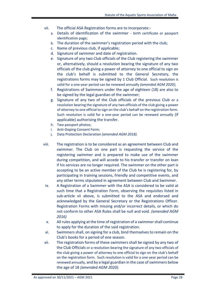- vii. The official ASA Registration forms are to incorporate:
	- a. Details of identification of the swimmer birth certificate or passport identification page;
	- b. The duration of the swimmer's registration period with the club;
	- c. Name of previous club, if applicable;
	- d. Signature of swimmer and date of registration.
	- e. Signature of any two Club officials of the Club registering the swimmer or, alternatively, should a resolution bearing the signature of any two officials of the club giving a power of attorney to one official to sign on the club's behalf is submitted to the General Secretary, the registrations forms may be signed by 1 Club Official. Such resolution is valid for a one-year period can be renewed annually *(amended AGM 2020)*;
	- f. Registrations of Swimmers under the age of eighteen (18) are also to be signed by the legal guardian of the swimmer;
	- g. Signature of any two of the Club officials of the previous Club or a resolution bearing the signature of any two officials of the club giving a power of attorney to one official to sign on the club's behalf on the registration form. Such resolution is valid for a one-year period can be renewed annually (if applicable) authorising the transfer.
	- h. Two passport photos;
	- i. Anti-Doping Consent Form;
	- j. Data Protection Declaration *(amended AGM 2018).*
- viii. The registration is to be considered as an agreement between Club and swimmer. The Club on one part is requesting the service of the registering swimmer and is prepared to make use of the swimmer during competition, and will accede to his transfer or transfer on loan if his services are no longer required. The swimmer on the other part is accepting to be an active member of the Club he is registering for, by participating in training sessions, friendly and competitive events, and any other terms stipulated in agreement between Club and Swimmer.
- ix. A Registration of a Swimmer with the ASA is considered to be valid at such time that a Registration Form, observing the requisites listed in sub-article vii above, is submitted to the ASA and endorsed and acknowledged by the General Secretary or the Registrations Officer. Registration Forms with missing and/or incorrect details, or which do not conform to other ASA Rules shall be null and void. *(amended AGM 2016)*
- x. All rules applying at the time of registration of a swimmer shall continue to apply for the duration of the said registration.
- xi. Swimmers shall, on signing for a club, bind themselves to remain on the Club's books for a period of one season.
- xii. The registration forms of these swimmers shall be signed by any two of the Club Officials or a resolution bearing the signature of any two officials of the club giving a power of attorney to one official to sign on the club's behalf on the registration form. Such resolution is valid for a one-year period can be renewed annually, and by a legal guardian in the case of swimmers below the age of 18 *(amended AGM 2020)*.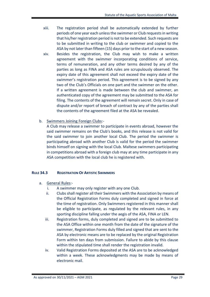- xiii. The registration period shall be automatically extended by further periods of one year each unless the swimmer or Club requests in writing that his/her registration period is not to be extended. Such requests are to be submitted in writing to the club or swimmer and copied to the ASA by not later than fifteen (15) days prior to the start of a new season. xiv. Besides the registration, the Club may wish to make a written agreement with the swimmer incorporating conditions of service, terms of remuneration, and any other terms desired by any of the parties as long as FINA and ASA rules are scrupulously observed. The expiry date of this agreement shall not exceed the expiry date of the swimmer's registration period. This agreement is to be signed by any two of the Club's Officials on one part and the swimmer on the other. If a written agreement is made between the club and swimmer, an authenticated copy of the agreement may be submitted to the ASA for filing. The contents of the agreement will remain secret. Only in case of dispute and/or report of breach of contract by any of the parties shall the contents of the agreement filed at the ASA be revealed.
- b. Swimmers Joining Foreign Clubs:-

A Club may release a swimmer to participate in events abroad, however the said swimmer remains on the Club's books, and this release is not valid for the said swimmer to join another local Club. The period the swimmer is participating abroad with another Club is valid for the period the swimmer binds himself on signing with the local Club. Maltese swimmers participating in competitions abroad with a foreign club may at any time participate in any ASA competition with the local club he is registered with.

# **RULE 34.3 REGISTRATION OF ARTISTIC SWIMMERS**

- a. General Rules:
	- i. A swimmer may only register with any one Club.
	- ii. Clubs shall register all their Swimmers with the Association by means of the Official Registration Forms duly completed and signed in force at the time of registration. Only Swimmers registered in this manner shall be eligible to participate, as regulated by the relevant rules, in any sporting discipline falling under the aegis of the ASA, FINA or LEN.
	- iii. Registration forms, duly completed and signed are to be submitted to the ASA Office within one month from the date of the signature of the swimmer, Registration Forms duly filled and signed that are sent to the ASA by electronic means are to be replaced by the original Registration Form within ten days from submission. Failure to abide by this clause within the stipulated time shall render the registration invalid.
	- iv. Valid Registration Forms deposited at the ASA are to be acknowledged within a week. These acknowledgments may be made by means of electronic mail.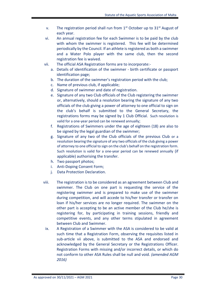- v. The registration period shall run from  $1<sup>st</sup>$  October up to  $31<sup>st</sup>$  August of each year.
- vi. An annual registration fee for each Swimmer is to be paid by the club with whom the swimmer is registered. This fee will be determined periodically by the Council. If an athlete is registered as both a swimmer and a Water Polo player with the same club, then the second registration fee is waived.
- vii. The official ASA Registration forms are to incorporate:
	- a. Details of identification of the swimmer birth certificate or passport identification page;
	- b. The duration of the swimmer's registration period with the club;
	- c. Name of previous club, if applicable;
	- d. Signature of swimmer and date of registration.
	- e. Signature of any two Club officials of the Club registering the swimmer or, alternatively, should a resolution bearing the signature of any two officials of the club giving a power of attorney to one official to sign on the club's behalf is submitted to the General Secretary, the registrations forms may be signed by 1 Club Official. Such resolution is valid for a one-year period can be renewed annually;
	- f. Registrations of Swimmers under the age of eighteen (18) are also to be signed by the legal guardian of the swimmer;
	- g. Signature of any two of the Club officials of the previous Club or a resolution bearing the signature of any two officials of the club giving a power of attorney to one official to sign on the club's behalf on the registration form. Such resolution is valid for a one-year period can be renewed annually (if applicable) authorising the transfer.
	- h. Two passport photos;
	- i. Anti-Doping Consent Form;
	- j. Data Protection Declaration.
- viii. The registration is to be considered as an agreement between Club and swimmer. The Club on one part is requesting the service of the registering swimmer and is prepared to make use of the swimmer during competition, and will accede to his/her transfer or transfer on loan if his/her services are no longer required. The swimmer on the other part is accepting to be an active member of the Club he/she is registering for, by participating in training sessions, friendly and competitive events, and any other terms stipulated in agreement between Club and Swimmer.
	- ix. A Registration of a Swimmer with the ASA is considered to be valid at such time that a Registration Form, observing the requisites listed in sub-article vii above, is submitted to the ASA and endorsed and acknowledged by the General Secretary or the Registrations Officer. Registration Forms with missing and/or incorrect details, or which do not conform to other ASA Rules shall be null and void. *(amended AGM 2016)*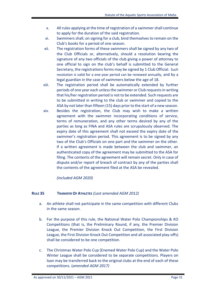- x. All rules applying at the time of registration of a swimmer shall continue to apply for the duration of the said registration.
- xi. Swimmers shall, on signing for a club, bind themselves to remain on the Club's books for a period of one season.
- xii. The registration forms of these swimmers shall be signed by any two of the Club Officials or, alternatively, should a resolution bearing the signature of any two officials of the club giving a power of attorney to one official to sign on the club's behalf is submitted to the General Secretary, the registrations forms may be signed by 1 Club Official. Such resolution is valid for a one-year period can be renewed annually, and by a legal guardian in the case of swimmers below the age of 18.
- xiii. The registration period shall be automatically extended by further periods of one year each unless the swimmer or Club requests in writing that his/her registration period is not to be extended. Such requests are to be submitted in writing to the club or swimmer and copied to the ASA by not later than fifteen (15) days prior to the start of a new season.
- xiv. Besides the registration, the Club may wish to make a written agreement with the swimmer incorporating conditions of service, terms of remuneration, and any other terms desired by any of the parties as long as FINA and ASA rules are scrupulously observed. The expiry date of this agreement shall not exceed the expiry date of the swimmer's registration period. This agreement is to be signed by any two of the Club's Officials on one part and the swimmer on the other. If a written agreement is made between the club and swimmer, an authenticated copy of the agreement may be submitted to the ASA for filing. The contents of the agreement will remain secret. Only in case of dispute and/or report of breach of contract by any of the parties shall the contents of the agreement filed at the ASA be revealed.

*(included AGM 2020)*

# **RULE 35 TRANSFER OF ATHLETES** *(Last amended AGM 2012)*

- a. An athlete shall not participate in the same competition with different Clubs in the same season.
- b. For the purpose of this rule, the National Water Polo Championships & KO Competitions (that is, the Preliminary Round, if any, the Premier Division League, the Premier Division Knock Out Competition, the First Division League, the First Division Knock Out Competition and all associated play-offs) shall be considered to be one competition.
- c. The Christmas Water Polo Cup (Enemed Water Polo Cup) and the Water Polo Winter League shall be considered to be separate competitions. Players on loan may be transferred back to the original clubs at the end of each of these competitions. (*amended AGM 2017)*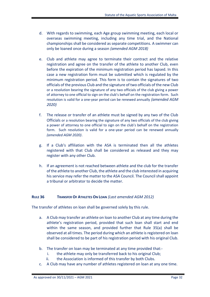- d. With regards to swimming, each Age group swimming meeting, each local or overseas swimming meeting, including any time trial, and the National championships shall be considered as separate competitions. A swimmer can only be loaned once during a season *(amended AGM 2018)*
- e. Club and athlete may agree to terminate their contract and the relative registration and agree on the transfer of the athlete to another Club, even before the expiration of the minimum registration period has lapsed. In this case a new registration form must be submitted which is regulated by the minimum registration period. This form is to contain the signatures of two officials of the previous Club and the signature of two officials of the new Club or a resolution bearing the signature of any two officials of the club giving a power of attorney to one official to sign on the club's behalf on the registration form. Such resolution is valid for a one-year period can be renewed annually *(amended AGM 2020)*
- f. The release or transfer of an athlete must be signed by any two of the Club Officials or a resolution bearing the signature of any two officials of the club giving a power of attorney to one official to sign on the club's behalf on the registration form. Such resolution is valid for a one-year period can be renewed annually *(amended AGM 2020)*.
- g. If a Club's affiliation with the ASA is terminated then all the athletes registered with that Club shall be considered as released and they may register with any other Club.
- h. If an agreement is not reached between athlete and the club for the transfer of the athlete to another Club, the athlete and the club interested in acquiring his service may refer the matter to the ASA Council. The Council shall appoint a tribunal or arbitrator to decide the matter.

# **RULE 36 TRANSFER OF ATHLETES ON LOAN** *(Last amended AGM 2012)*

The transfer of athletes on loan shall be governed solely by this rule.

- a. A Club may transfer an athlete on loan to another Club at any time during the athlete's registration period, provided that such loan shall start and end within the same season, and provided further that Rule 35(a) shall be observed at all times. The period during which an athlete is registered on loan shall be considered to be part of his registration period with his original Club.
- b. The transfer on loan may be terminated at any time provided that:
	- i. the athlete may only be transferred back to his original Club;
	- ii. the Association is informed of this transfer by both Clubs.
- c. A Club may have any number of athletes registered on loan at any one time.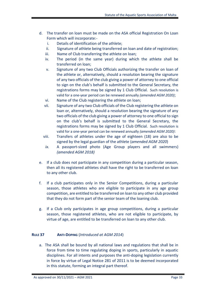- d. The transfer on loan must be made on the ASA official Registration On Loan Form which will incorporate:
	- i. Details of identification of the athlete;
	- ii. Signature of athlete being transferred on loan and date of registration;
	- iii. Name of Club transferring the athlete on loan;
	- iv. The period (in the same year) during which the athlete shall be transferred on loan;
	- v. Signature of any two Club Officials authorizing the transfer on loan of the athlete or, alternatively, should a resolution bearing the signature of any two officials of the club giving a power of attorney to one official to sign on the club's behalf is submitted to the General Secretary, the registrations forms may be signed by 1 Club Official. Such resolution is valid for a one-year period can be renewed annually *(amended AGM 2020)*;
	- vi. Name of the Club registering the athlete on loan;
	- vii. Signature of any two Club officials of the Club registering the athlete on loan or, alternatively, should a resolution bearing the signature of any two officials of the club giving a power of attorney to one official to sign on the club's behalf is submitted to the General Secretary, the registrations forms may be signed by 1 Club Official. Such resolution is valid for a one-year period can be renewed annually *(amended AGM 2020)*:
	- viii. Transfers of athletes under the age of eighteen (18) are also to be signed by the legal guardian of the athlete (*amended AGM 2020*)
	- *ix.* A passport-sized photo (Age Group players and all swimmers) *(amended AGM 2018)*
- e. If a club does not participate in any competition during a particular season, then all its registered athletes shall have the right to be transferred on loan to any other club.
- f. If a club participates only in the Senior Competitions, during a particular season, those athletes who are eligible to participate in any age group competition, are entitled to be transferred on loan to any other club provided that they do not form part of the senior team of the loaning club.
- g. If a Club only participates in age group competitions, during a particular season, those registered athletes, who are not eligible to participate, by virtue of age, are entitled to be transferred on loan to any other club.

# **RULE 37 ANTI-DOPING** (*Introduced at AGM 2014*)

a. The ASA shall be bound by all national laws and regulations that shall be in force from time to time regulating doping in sports, particularly in aquatic disciplines. For all intents and purposes the anti-doping legislation currently in force by virtue of Legal Notice 281 of 2011 is to be deemed incorporated in this statute, forming an integral part thereof.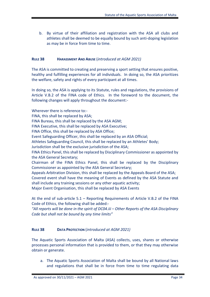b. By virtue of their affiliation and registration with the ASA all clubs and athletes shall be deemed to be equally bound by such anti-doping legislation as may be in force from time to time.

# **RULE 38 HARASSMENT AND ABUSE** (*introduced at AGM 2021)*

The ASA is committed to creating and preserving a sport setting that ensures positive, healthy and fulfilling experiences for all individuals. In doing so, the ASA prioritizes the welfare, safety and rights of every participant at all times.

In doing so, the ASA is applying to its Statute, rules and regulations, the provisions of Article V.B.2 of the FINA code of Ethics. In the foreword to the document, the following changes will apply throughout the document:-

Wherever there is reference to:- FINA, this shall be replaced by ASA; FINA Bureau, this shall be replaced by the ASA AGM; FINA Executive, this shall be replaced by ASA Executive; FINA Office, this shall be replaced by ASA Office; Event Safeguarding Officer, this shall be replaced by an ASA Official; Athletes Safeguarding Council, this shall be replaced by an Athletes' Body; Jurisdiction shall be the exclusive jurisdiction of the ASA; FINA Ethics Panel, this shall be replaced by Disciplinary Commissioner as appointed by the ASA General Secretary; Chairman of the FINA Ethics Panel, this shall be replaced by the Disciplinary Commissioner as appointed by the ASA General Secretary; Appeals Arbitration Division, this shall be replaced by the Appeals Board of the ASA; Covered event shall have the meaning of Events as defined by the ASA Statute and shall include any training sessions or any other aquatic activity; Major Event Organisation, this shall be replaced by ASA Events

At the end of sub-article 5.1 – Reporting Requirements of Article V.B.2 of the FINA Code of Ethics, the following shall be added:-

*"All reports will be done in the spirit of DC04.iii – Other Reports of the ASA Disciplinary Code but shall not be bound by any time limits"*

# **RULE 38 DATA PROTECTION** (*introduced at AGM 2021)*

The Aquatic Sports Association of Malta (ASA) collects, uses, shares or otherwise processes personal information that is provided to them, or that they may otherwise obtain or generate.

a. The Aquatic Sports Association of Malta shall be bound by all National laws and regulations that shall be in force from time to time regulating data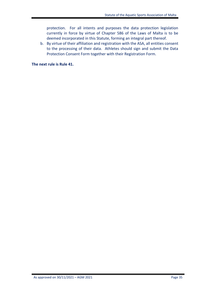protection. For all intents and purposes the data protection legislation currently in force by virtue of Chapter 586 of the Laws of Malta is to be deemed incorporated in this Statute, forming an integral part thereof.

b. By virtue of their affiliation and registration with the ASA, all entities consent to the processing of their data. Athletes should sign and submit the Data Protection Consent Form together with their Registration Form.

**The next rule is Rule 41.**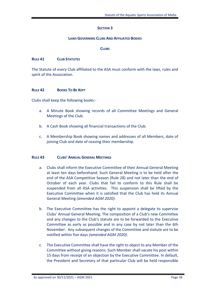## **SECTION 3**

#### **LAWS GOVERNING CLUBS AND AFFILIATED BODIES**

#### **CLUBS**

#### **RULE 41 CLUB STATUTES**

The Statute of every Club affiliated to the ASA must conform with the laws, rules and spirit of the Association.

#### **RULE 42 BOOKS TO BE KEPT**

Clubs shall keep the following books:-

- a. A Minute Book showing records of all Committee Meetings and General Meetings of the Club.
- b. A Cash Book showing all financial transactions of the Club.
- c. A Membership Book showing names and addresses of all Members, date of joining Club and date of ceasing their membership.

## **RULE 43 CLUBS' ANNUAL GENERAL MEETINGS**

- a. Clubs shall inform the Executive Committee of their Annual General Meeting at least ten days beforehand. Such General Meeting is to be held after the end of the ASA Competitive Season (Rule 28) and not later than the end of October of each year. Clubs that fail to conform to this Rule shall be suspended from all ASA activities. This suspension shall be lifted by the Executive Committee when it is satisfied that the Club has held its Annual General Meeting *(amended AGM 2020).*
- b. The Executive Committee has the right to appoint a delegate to supervise Clubs' Annual General Meeting. The composition of a Club's new Committee and any changes to the Club's statute are to be forwarded to the Executive Committee as early as possible and in any case by not later than the 6th November. Any subsequent changes of the Committee and statute are to be notified within five days *(amended AGM 2020)*.
- c. The Executive Committee shall have the right to object to any Member of the Committee without giving reasons. Such Member shall vacate his post within 15 days from receipt of an objection by the Executive Committee. In default, the President and Secretary of that particular Club will be held responsible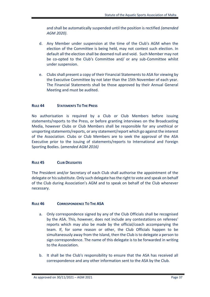and shall be automatically suspended until the position is rectified *(amended AGM 2020)*.

- d. Any Member under suspension at the time of the Club's AGM when the election of the Committee is being held, may not contest such election. In default all the election shall be deemed null and void. Such Member may not be co-opted to the Club's Committee and/ or any sub-Committee whilst under suspension.
- e. Clubs shall present a copy of their Financial Statements to ASA for viewing by the Executive Committee by not later than the 15th November of each year. The Financial Statements shall be those approved by their Annual General Meeting and must be audited.

# **RULE 44 STATEMENTS TO THE PRESS**

No authorisation is required by a Club or Club Members before issuing statements/reports to the Press, or before granting interviews on the Broadcasting Media, however Clubs or Club Members shall be responsible for any unethical or unsporting statements/reports, or any statement/report which go against the interest of the Association. Clubs or Club Members are to seek the approval of the ASA Executive prior to the issuing of statements/reports to International and Foreign Sporting Bodies. (*amended AGM 2016)*

# **RULE 45 CLUB DELEGATES**

The President and/or Secretary of each Club shall authorise the appointment of the delegate or his substitute. Only such delegate has the right to vote and speak on behalf of the Club during Association's AGM and to speak on behalf of the Club whenever necessary.

# **RULE 46 CORRESPONDENCE TO THE ASA**

- a. Only correspondence signed by any of the Club Officials shall be recognised by the ASA. This, however, does not include any contestations on referees' reports which may also be made by the official/coach accompanying the team. If, for some reason or other, the Club Officials happen to be simultaneously away from the Island, then the Club is to delegate a person to sign correspondence. The name of this delegate is to be forwarded in writing to the Association.
- b. It shall be the Club's responsibility to ensure that the ASA has received all correspondence and any other information sent to the ASA by the Club.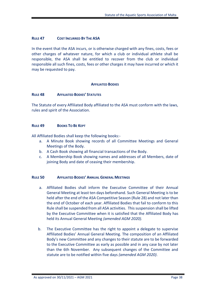## **RULE 47 COST INCURRED BY THE ASA**

In the event that the ASA incurs, or is otherwise charged with any fines, costs, fees or other charges of whatever nature, for which a club or individual athlete shall be responsible, the ASA shall be entitled to recover from the club or individual responsible all such fines, costs, fees or other charges it may have incurred or which it may be requested to pay.

## **AFFILIATED BODIES**

## **RULE 48 AFFILIATED BODIES' STATUTES**

The Statute of every Affiliated Body affiliated to the ASA must conform with the laws, rules and spirit of the Association.

#### **RULE 49 BOOKS TO BE KEPT**

All Affiliated Bodies shall keep the following books:-

- a. A Minute Book showing records of all Committee Meetings and General Meetings of the Body.
- b. A Cash Book showing all financial transactions of the Body.
- c. A Membership Book showing names and addresses of all Members, date of joining Body and date of ceasing their membership.

## **RULE 50 AFFILIATED BODIES' ANNUAL GENERAL MEETINGS**

- a. Affiliated Bodies shall inform the Executive Committee of their Annual General Meeting at least ten days beforehand. Such General Meeting is to be held after the end of the ASA Competitive Season (Rule 28) and not later than the end of October of each year. Affiliated Bodies that fail to conform to this Rule shall be suspended from all ASA activities. This suspension shall be lifted by the Executive Committee when it is satisfied that the Affiliated Body has held its Annual General Meeting *(amended AGM 2020).*
- b. The Executive Committee has the right to appoint a delegate to supervise Affiliated Bodies' Annual General Meeting. The composition of an Affiliated Body's new Committee and any changes to their statute are to be forwarded to the Executive Committee as early as possible and in any case by not later than the 6th November. Any subsequent changes of the Committee and statute are to be notified within five days *(amended AGM 2020)*.